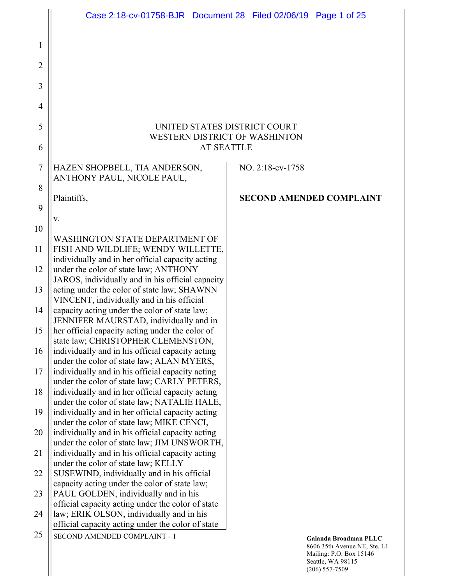|                | Case 2:18-cv-01758-BJR  Document 28  Filed 02/06/19  Page 1 of 25                                                                             |                                                                                                                             |
|----------------|-----------------------------------------------------------------------------------------------------------------------------------------------|-----------------------------------------------------------------------------------------------------------------------------|
| 1              |                                                                                                                                               |                                                                                                                             |
| 2              |                                                                                                                                               |                                                                                                                             |
| 3              |                                                                                                                                               |                                                                                                                             |
| $\overline{4}$ |                                                                                                                                               |                                                                                                                             |
| 5              | UNITED STATES DISTRICT COURT                                                                                                                  |                                                                                                                             |
| 6              | <b>WESTERN DISTRICT OF WASHINTON</b><br><b>AT SEATTLE</b>                                                                                     |                                                                                                                             |
| $\overline{7}$ | HAZEN SHOPBELL, TIA ANDERSON,<br>ANTHONY PAUL, NICOLE PAUL,                                                                                   | NO. 2:18-cv-1758                                                                                                            |
| 8              | Plaintiffs,                                                                                                                                   | <b>SECOND AMENDED COMPLAINT</b>                                                                                             |
| 9              | V.                                                                                                                                            |                                                                                                                             |
| 10             |                                                                                                                                               |                                                                                                                             |
| 11             | <b>WASHINGTON STATE DEPARTMENT OF</b><br>FISH AND WILDLIFE; WENDY WILLETTE,                                                                   |                                                                                                                             |
| 12             | individually and in her official capacity acting<br>under the color of state law; ANTHONY<br>JAROS, individually and in his official capacity |                                                                                                                             |
| 13             | acting under the color of state law; SHAWNN<br>VINCENT, individually and in his official                                                      |                                                                                                                             |
| 14             | capacity acting under the color of state law;<br>JENNIFER MAURSTAD, individually and in                                                       |                                                                                                                             |
| 15             | her official capacity acting under the color of<br>state law; CHRISTOPHER CLEMENSTON,                                                         |                                                                                                                             |
| 16             | individually and in his official capacity acting<br>under the color of state law; ALAN MYERS,                                                 |                                                                                                                             |
| 17             | individually and in his official capacity acting<br>under the color of state law; CARLY PETERS,                                               |                                                                                                                             |
| 18             | individually and in her official capacity acting<br>under the color of state law; NATALIE HALE,                                               |                                                                                                                             |
| 19             | individually and in her official capacity acting<br>under the color of state law; MIKE CENCI,                                                 |                                                                                                                             |
| 20             | individually and in his official capacity acting<br>under the color of state law; JIM UNSWORTH,                                               |                                                                                                                             |
| 21             | individually and in his official capacity acting<br>under the color of state law; KELLY                                                       |                                                                                                                             |
| 22             | SUSEWIND, individually and in his official<br>capacity acting under the color of state law;                                                   |                                                                                                                             |
| 23             | PAUL GOLDEN, individually and in his<br>official capacity acting under the color of state                                                     |                                                                                                                             |
| 24             | law; ERIK OLSON, individually and in his<br>official capacity acting under the color of state                                                 |                                                                                                                             |
| 25             | SECOND AMENDED COMPLAINT - 1                                                                                                                  | Galanda Broadman PLLC<br>8606 35th Avenue NE, Ste. L1<br>Mailing: P.O. Box 15146<br>Seattle, WA 98115<br>$(206) 557 - 7509$ |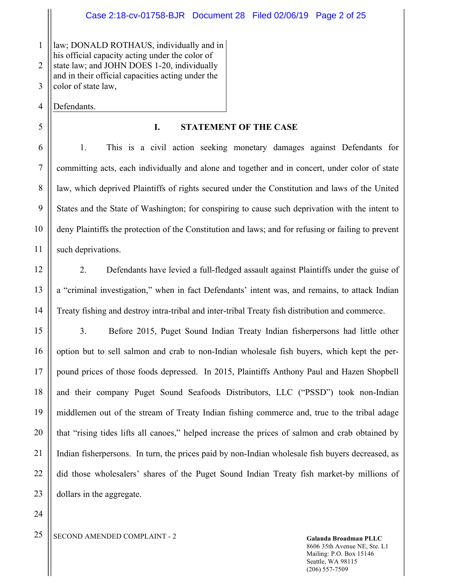1 2 3 law; DONALD ROTHAUS, individually and in his official capacity acting under the color of state law; and JOHN DOES 1-20, individually and in their official capacities acting under the color of state law,

4 Defendants.

5

6

7

8

9

10

11

12

13

14

15

16

17

18

19

20

21

22

23

24

## **I. STATEMENT OF THE CASE**

1. This is a civil action seeking monetary damages against Defendants for committing acts, each individually and alone and together and in concert, under color of state law, which deprived Plaintiffs of rights secured under the Constitution and laws of the United States and the State of Washington; for conspiring to cause such deprivation with the intent to deny Plaintiffs the protection of the Constitution and laws; and for refusing or failing to prevent such deprivations.

2. Defendants have levied a full-fledged assault against Plaintiffs under the guise of a "criminal investigation," when in fact Defendants' intent was, and remains, to attack Indian Treaty fishing and destroy intra-tribal and inter-tribal Treaty fish distribution and commerce.

3. Before 2015, Puget Sound Indian Treaty Indian fisherpersons had little other option but to sell salmon and crab to non-Indian wholesale fish buyers, which kept the perpound prices of those foods depressed. In 2015, Plaintiffs Anthony Paul and Hazen Shopbell and their company Puget Sound Seafoods Distributors, LLC ("PSSD") took non-Indian middlemen out of the stream of Treaty Indian fishing commerce and, true to the tribal adage that "rising tides lifts all canoes," helped increase the prices of salmon and crab obtained by Indian fisherpersons. In turn, the prices paid by non-Indian wholesale fish buyers decreased, as did those wholesalers' shares of the Puget Sound Indian Treaty fish market-by millions of dollars in the aggregate.

<sup>25</sup> SECOND AMENDED COMPLAINT - 2 Galanda Broadman PLLC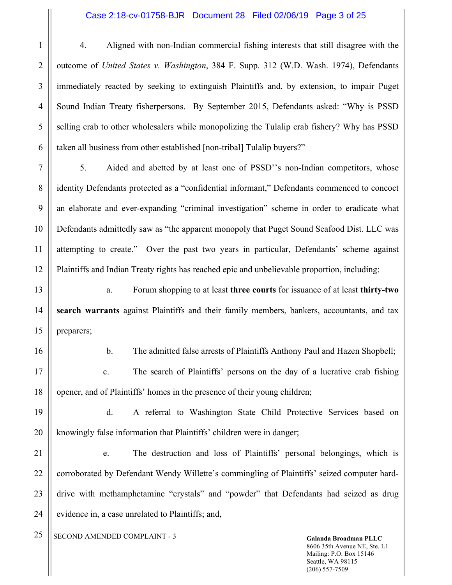#### Case 2:18-cv-01758-BJR Document 28 Filed 02/06/19 Page 3 of 25

4. Aligned with non-Indian commercial fishing interests that still disagree with the outcome of *United States v. Washington*, 384 F. Supp. 312 (W.D. Wash. 1974), Defendants immediately reacted by seeking to extinguish Plaintiffs and, by extension, to impair Puget Sound Indian Treaty fisherpersons. By September 2015, Defendants asked: "Why is PSSD selling crab to other wholesalers while monopolizing the Tulalip crab fishery? Why has PSSD taken all business from other established [non-tribal] Tulalip buyers?"

5. Aided and abetted by at least one of PSSD''s non-Indian competitors, whose identity Defendants protected as a "confidential informant," Defendants commenced to concoct an elaborate and ever-expanding "criminal investigation" scheme in order to eradicate what Defendants admittedly saw as "the apparent monopoly that Puget Sound Seafood Dist. LLC was attempting to create." Over the past two years in particular, Defendants' scheme against Plaintiffs and Indian Treaty rights has reached epic and unbelievable proportion, including:

a. Forum shopping to at least **three courts** for issuance of at least **thirty-two search warrants** against Plaintiffs and their family members, bankers, accountants, and tax preparers;

16

1

2

3

4

5

6

7

8

9

10

11

12

13

14

15

17

18

b. The admitted false arrests of Plaintiffs Anthony Paul and Hazen Shopbell;

c. The search of Plaintiffs' persons on the day of a lucrative crab fishing opener, and of Plaintiffs' homes in the presence of their young children;

19 20 d. A referral to Washington State Child Protective Services based on knowingly false information that Plaintiffs' children were in danger;

21 22 23 24 e. The destruction and loss of Plaintiffs' personal belongings, which is corroborated by Defendant Wendy Willette's commingling of Plaintiffs' seized computer harddrive with methamphetamine "crystals" and "powder" that Defendants had seized as drug evidence in, a case unrelated to Plaintiffs; and,

<sup>25</sup> SECOND AMENDED COMPLAINT - 3 Galanda Broadman PLLC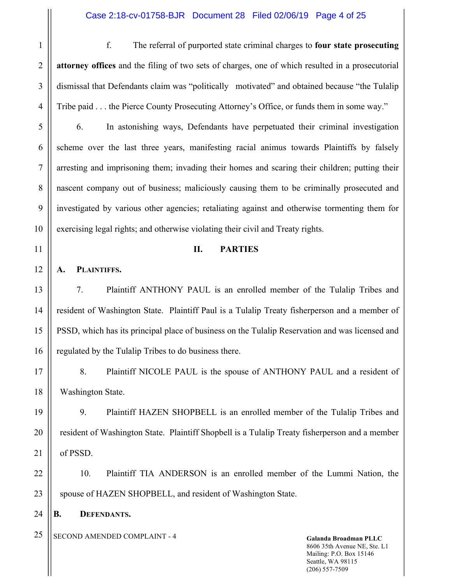f. The referral of purported state criminal charges to **four state prosecuting attorney offices** and the filing of two sets of charges, one of which resulted in a prosecutorial dismissal that Defendants claim was "politically motivated" and obtained because "the Tulalip Tribe paid . . . the Pierce County Prosecuting Attorney's Office, or funds them in some way."

6. In astonishing ways, Defendants have perpetuated their criminal investigation scheme over the last three years, manifesting racial animus towards Plaintiffs by falsely arresting and imprisoning them; invading their homes and scaring their children; putting their nascent company out of business; maliciously causing them to be criminally prosecuted and investigated by various other agencies; retaliating against and otherwise tormenting them for exercising legal rights; and otherwise violating their civil and Treaty rights.

#### **II. PARTIES**

**A. PLAINTIFFS.**

7. Plaintiff ANTHONY PAUL is an enrolled member of the Tulalip Tribes and resident of Washington State. Plaintiff Paul is a Tulalip Treaty fisherperson and a member of PSSD, which has its principal place of business on the Tulalip Reservation and was licensed and regulated by the Tulalip Tribes to do business there.

8. Plaintiff NICOLE PAUL is the spouse of ANTHONY PAUL and a resident of Washington State.

9. Plaintiff HAZEN SHOPBELL is an enrolled member of the Tulalip Tribes and resident of Washington State. Plaintiff Shopbell is a Tulalip Treaty fisherperson and a member of PSSD.

10. Plaintiff TIA ANDERSON is an enrolled member of the Lummi Nation, the spouse of HAZEN SHOPBELL, and resident of Washington State.

**B. DEFENDANTS.** 

<sup>25</sup> SECOND AMENDED COMPLAINT - 4 Galanda Broadman PLLC

8606 35th Avenue NE, Ste. L1 Mailing: P.O. Box 15146 Seattle, WA 98115 (206) 557-7509

1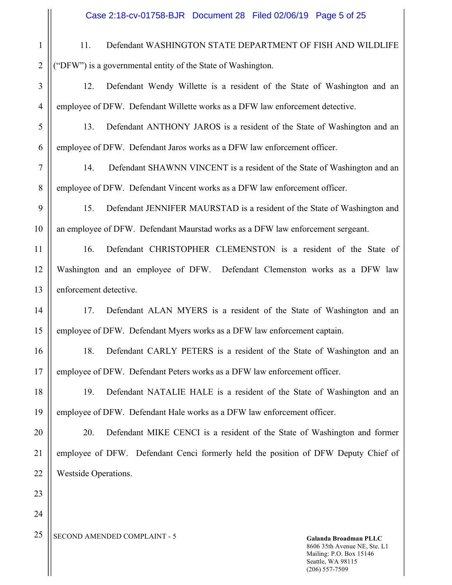11. Defendant WASHINGTON STATE DEPARTMENT OF FISH AND WILDLIFE ("DFW") is a governmental entity of the State of Washington.

12. Defendant Wendy Willette is a resident of the State of Washington and an employee of DFW. Defendant Willette works as a DFW law enforcement detective.

5 6 13. Defendant ANTHONY JAROS is a resident of the State of Washington and an employee of DFW. Defendant Jaros works as a DFW law enforcement officer.

14. Defendant SHAWNN VINCENT is a resident of the State of Washington and an employee of DFW. Defendant Vincent works as a DFW law enforcement officer.

15. Defendant JENNIFER MAURSTAD is a resident of the State of Washington and an employee of DFW. Defendant Maurstad works as a DFW law enforcement sergeant.

16. Defendant CHRISTOPHER CLEMENSTON is a resident of the State of Washington and an employee of DFW. Defendant Clemenston works as a DFW law enforcement detective.

17. Defendant ALAN MYERS is a resident of the State of Washington and an employee of DFW. Defendant Myers works as a DFW law enforcement captain.

16 17 18. Defendant CARLY PETERS is a resident of the State of Washington and an employee of DFW. Defendant Peters works as a DFW law enforcement officer.

19. Defendant NATALIE HALE is a resident of the State of Washington and an employee of DFW. Defendant Hale works as a DFW law enforcement officer.

20. Defendant MIKE CENCI is a resident of the State of Washington and former employee of DFW. Defendant Cenci formerly held the position of DFW Deputy Chief of Westside Operations.

<sup>25</sup> SECOND AMENDED COMPLAINT - 5

1

2

3

4

7

8

9

10

11

12

13

14

15

18

19

20

21

22

23

24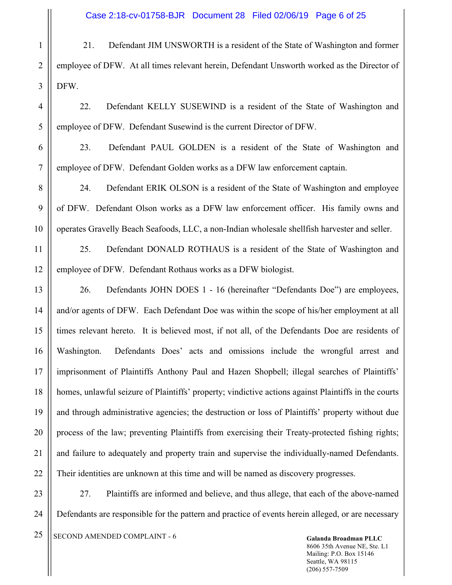21. Defendant JIM UNSWORTH is a resident of the State of Washington and former employee of DFW. At all times relevant herein, Defendant Unsworth worked as the Director of DFW.

22. Defendant KELLY SUSEWIND is a resident of the State of Washington and employee of DFW. Defendant Susewind is the current Director of DFW.

23. Defendant PAUL GOLDEN is a resident of the State of Washington and employee of DFW. Defendant Golden works as a DFW law enforcement captain.

24. Defendant ERIK OLSON is a resident of the State of Washington and employee of DFW. Defendant Olson works as a DFW law enforcement officer. His family owns and operates Gravelly Beach Seafoods, LLC, a non-Indian wholesale shellfish harvester and seller.

25. Defendant DONALD ROTHAUS is a resident of the State of Washington and employee of DFW. Defendant Rothaus works as a DFW biologist.

26. Defendants JOHN DOES 1 - 16 (hereinafter "Defendants Doe") are employees, and/or agents of DFW. Each Defendant Doe was within the scope of his/her employment at all times relevant hereto. It is believed most, if not all, of the Defendants Doe are residents of Washington. Defendants Does' acts and omissions include the wrongful arrest and imprisonment of Plaintiffs Anthony Paul and Hazen Shopbell; illegal searches of Plaintiffs' homes, unlawful seizure of Plaintiffs' property; vindictive actions against Plaintiffs in the courts and through administrative agencies; the destruction or loss of Plaintiffs' property without due process of the law; preventing Plaintiffs from exercising their Treaty-protected fishing rights; and failure to adequately and property train and supervise the individually-named Defendants. Their identities are unknown at this time and will be named as discovery progresses.

23 24 27. Plaintiffs are informed and believe, and thus allege, that each of the above-named Defendants are responsible for the pattern and practice of events herein alleged, or are necessary

<sup>25</sup> SECOND AMENDED COMPLAINT - 6 Galanda Broadman PLLC

1

2

3

4

5

6

7

8

9

10

11

12

13

14

15

16

17

18

19

20

21

22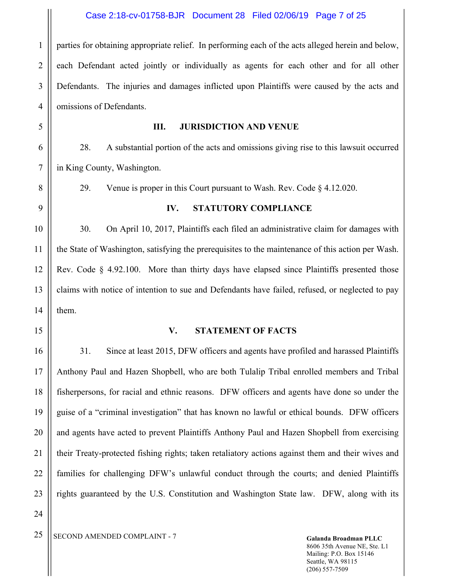2 3 4 parties for obtaining appropriate relief. In performing each of the acts alleged herein and below, each Defendant acted jointly or individually as agents for each other and for all other Defendants. The injuries and damages inflicted upon Plaintiffs were caused by the acts and omissions of Defendants.

5

6

7

8

9

10

11

12

13

14

16

17

18

19

20

21

22

23

24

1

#### **III. JURISDICTION AND VENUE**

28. A substantial portion of the acts and omissions giving rise to this lawsuit occurred in King County, Washington.

29. Venue is proper in this Court pursuant to Wash. Rev. Code § 4.12.020.

### **IV. STATUTORY COMPLIANCE**

30. On April 10, 2017, Plaintiffs each filed an administrative claim for damages with the State of Washington, satisfying the prerequisites to the maintenance of this action per Wash. Rev. Code § 4.92.100. More than thirty days have elapsed since Plaintiffs presented those claims with notice of intention to sue and Defendants have failed, refused, or neglected to pay them.

15

#### **V. STATEMENT OF FACTS**

31. Since at least 2015, DFW officers and agents have profiled and harassed Plaintiffs Anthony Paul and Hazen Shopbell, who are both Tulalip Tribal enrolled members and Tribal fisherpersons, for racial and ethnic reasons. DFW officers and agents have done so under the guise of a "criminal investigation" that has known no lawful or ethical bounds. DFW officers and agents have acted to prevent Plaintiffs Anthony Paul and Hazen Shopbell from exercising their Treaty-protected fishing rights; taken retaliatory actions against them and their wives and families for challenging DFW's unlawful conduct through the courts; and denied Plaintiffs rights guaranteed by the U.S. Constitution and Washington State law. DFW, along with its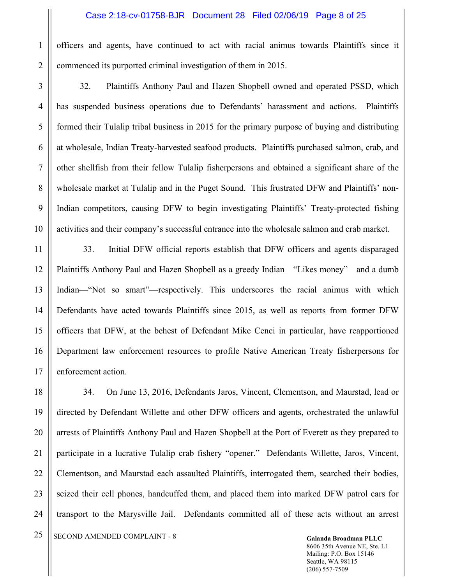officers and agents, have continued to act with racial animus towards Plaintiffs since it commenced its purported criminal investigation of them in 2015.

32. Plaintiffs Anthony Paul and Hazen Shopbell owned and operated PSSD, which has suspended business operations due to Defendants' harassment and actions. Plaintiffs formed their Tulalip tribal business in 2015 for the primary purpose of buying and distributing at wholesale, Indian Treaty-harvested seafood products. Plaintiffs purchased salmon, crab, and other shellfish from their fellow Tulalip fisherpersons and obtained a significant share of the wholesale market at Tulalip and in the Puget Sound. This frustrated DFW and Plaintiffs' non-Indian competitors, causing DFW to begin investigating Plaintiffs' Treaty-protected fishing activities and their company's successful entrance into the wholesale salmon and crab market.

33. Initial DFW official reports establish that DFW officers and agents disparaged Plaintiffs Anthony Paul and Hazen Shopbell as a greedy Indian—"Likes money"—and a dumb Indian—"Not so smart"—respectively. This underscores the racial animus with which Defendants have acted towards Plaintiffs since 2015, as well as reports from former DFW officers that DFW, at the behest of Defendant Mike Cenci in particular, have reapportioned Department law enforcement resources to profile Native American Treaty fisherpersons for enforcement action.

34. On June 13, 2016, Defendants Jaros, Vincent, Clementson, and Maurstad, lead or directed by Defendant Willette and other DFW officers and agents, orchestrated the unlawful arrests of Plaintiffs Anthony Paul and Hazen Shopbell at the Port of Everett as they prepared to participate in a lucrative Tulalip crab fishery "opener." Defendants Willette, Jaros, Vincent, Clementson, and Maurstad each assaulted Plaintiffs, interrogated them, searched their bodies, seized their cell phones, handcuffed them, and placed them into marked DFW patrol cars for transport to the Marysville Jail. Defendants committed all of these acts without an arrest

<sup>25</sup> SECOND AMENDED COMPLAINT - 8 Galanda Broadman PLLC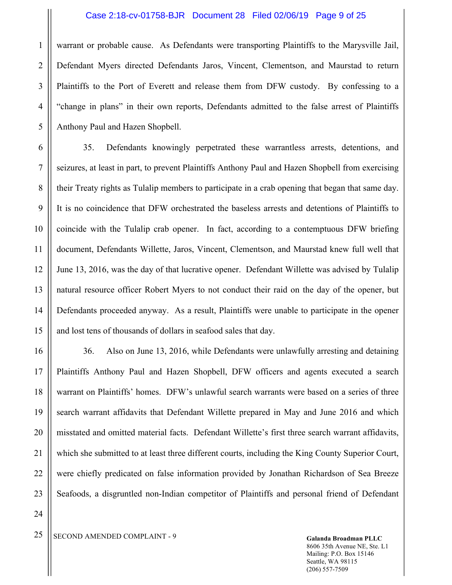#### Case 2:18-cv-01758-BJR Document 28 Filed 02/06/19 Page 9 of 25

warrant or probable cause. As Defendants were transporting Plaintiffs to the Marysville Jail, Defendant Myers directed Defendants Jaros, Vincent, Clementson, and Maurstad to return Plaintiffs to the Port of Everett and release them from DFW custody. By confessing to a "change in plans" in their own reports, Defendants admitted to the false arrest of Plaintiffs Anthony Paul and Hazen Shopbell.

35. Defendants knowingly perpetrated these warrantless arrests, detentions, and seizures, at least in part, to prevent Plaintiffs Anthony Paul and Hazen Shopbell from exercising their Treaty rights as Tulalip members to participate in a crab opening that began that same day. It is no coincidence that DFW orchestrated the baseless arrests and detentions of Plaintiffs to coincide with the Tulalip crab opener. In fact, according to a contemptuous DFW briefing document, Defendants Willette, Jaros, Vincent, Clementson, and Maurstad knew full well that June 13, 2016, was the day of that lucrative opener. Defendant Willette was advised by Tulalip natural resource officer Robert Myers to not conduct their raid on the day of the opener, but Defendants proceeded anyway. As a result, Plaintiffs were unable to participate in the opener and lost tens of thousands of dollars in seafood sales that day.

36. Also on June 13, 2016, while Defendants were unlawfully arresting and detaining Plaintiffs Anthony Paul and Hazen Shopbell, DFW officers and agents executed a search warrant on Plaintiffs' homes. DFW's unlawful search warrants were based on a series of three search warrant affidavits that Defendant Willette prepared in May and June 2016 and which misstated and omitted material facts. Defendant Willette's first three search warrant affidavits, which she submitted to at least three different courts, including the King County Superior Court, were chiefly predicated on false information provided by Jonathan Richardson of Sea Breeze Seafoods, a disgruntled non-Indian competitor of Plaintiffs and personal friend of Defendant

<sup>25</sup> SECOND AMENDED COMPLAINT - 9 Galanda Broadman PLLC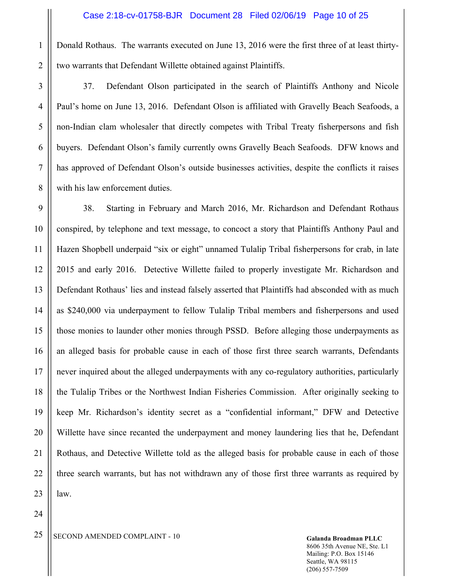Donald Rothaus. The warrants executed on June 13, 2016 were the first three of at least thirtytwo warrants that Defendant Willette obtained against Plaintiffs.

37. Defendant Olson participated in the search of Plaintiffs Anthony and Nicole Paul's home on June 13, 2016. Defendant Olson is affiliated with Gravelly Beach Seafoods, a non-Indian clam wholesaler that directly competes with Tribal Treaty fisherpersons and fish buyers. Defendant Olson's family currently owns Gravelly Beach Seafoods. DFW knows and has approved of Defendant Olson's outside businesses activities, despite the conflicts it raises with his law enforcement duties.

38. Starting in February and March 2016, Mr. Richardson and Defendant Rothaus conspired, by telephone and text message, to concoct a story that Plaintiffs Anthony Paul and Hazen Shopbell underpaid "six or eight" unnamed Tulalip Tribal fisherpersons for crab, in late 2015 and early 2016. Detective Willette failed to properly investigate Mr. Richardson and Defendant Rothaus' lies and instead falsely asserted that Plaintiffs had absconded with as much as \$240,000 via underpayment to fellow Tulalip Tribal members and fisherpersons and used those monies to launder other monies through PSSD. Before alleging those underpayments as an alleged basis for probable cause in each of those first three search warrants, Defendants never inquired about the alleged underpayments with any co-regulatory authorities, particularly the Tulalip Tribes or the Northwest Indian Fisheries Commission. After originally seeking to keep Mr. Richardson's identity secret as a "confidential informant," DFW and Detective Willette have since recanted the underpayment and money laundering lies that he, Defendant Rothaus, and Detective Willette told as the alleged basis for probable cause in each of those three search warrants, but has not withdrawn any of those first three warrants as required by law.

1

2

3

<sup>25</sup> SECOND AMENDED COMPLAINT - 10 Galanda Broadman PLLC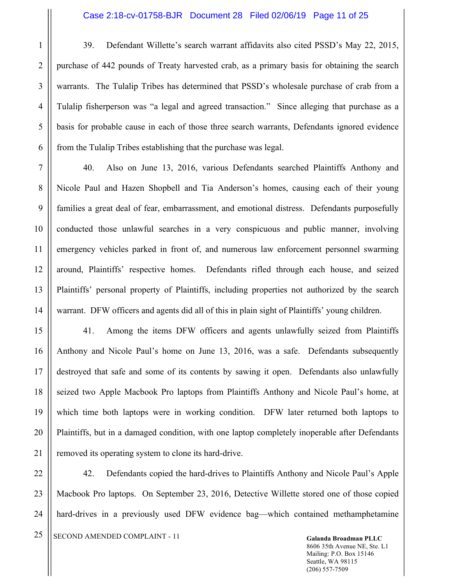39. Defendant Willette's search warrant affidavits also cited PSSD's May 22, 2015, purchase of 442 pounds of Treaty harvested crab, as a primary basis for obtaining the search warrants. The Tulalip Tribes has determined that PSSD's wholesale purchase of crab from a Tulalip fisherperson was "a legal and agreed transaction." Since alleging that purchase as a basis for probable cause in each of those three search warrants, Defendants ignored evidence from the Tulalip Tribes establishing that the purchase was legal.

40. Also on June 13, 2016, various Defendants searched Plaintiffs Anthony and Nicole Paul and Hazen Shopbell and Tia Anderson's homes, causing each of their young families a great deal of fear, embarrassment, and emotional distress. Defendants purposefully conducted those unlawful searches in a very conspicuous and public manner, involving emergency vehicles parked in front of, and numerous law enforcement personnel swarming around, Plaintiffs' respective homes. Defendants rifled through each house, and seized Plaintiffs' personal property of Plaintiffs, including properties not authorized by the search warrant. DFW officers and agents did all of this in plain sight of Plaintiffs' young children.

41. Among the items DFW officers and agents unlawfully seized from Plaintiffs Anthony and Nicole Paul's home on June 13, 2016, was a safe. Defendants subsequently destroyed that safe and some of its contents by sawing it open. Defendants also unlawfully seized two Apple Macbook Pro laptops from Plaintiffs Anthony and Nicole Paul's home, at which time both laptops were in working condition. DFW later returned both laptops to Plaintiffs, but in a damaged condition, with one laptop completely inoperable after Defendants removed its operating system to clone its hard-drive.

42. Defendants copied the hard-drives to Plaintiffs Anthony and Nicole Paul's Apple Macbook Pro laptops. On September 23, 2016, Detective Willette stored one of those copied hard-drives in a previously used DFW evidence bag—which contained methamphetamine

<sup>25</sup> SECOND AMENDED COMPLAINT - 11

8606 35th Avenue NE, Ste. L1 Mailing: P.O. Box 15146 Seattle, WA 98115 (206) 557-7509

1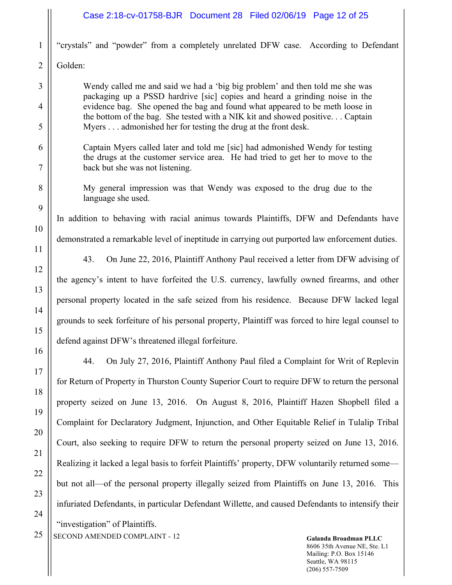|                | Case 2:18-cv-01758-BJR  Document 28  Filed 02/06/19  Page 12 of 25                                                                                              |  |
|----------------|-----------------------------------------------------------------------------------------------------------------------------------------------------------------|--|
| 1              | "crystals" and "powder" from a completely unrelated DFW case. According to Defendant                                                                            |  |
| $\overline{2}$ | Golden:                                                                                                                                                         |  |
| 3              | Wendy called me and said we had a 'big big problem' and then told me she was                                                                                    |  |
| $\overline{4}$ | packaging up a PSSD hardrive [sic] copies and heard a grinding noise in the<br>evidence bag. She opened the bag and found what appeared to be meth loose in     |  |
| 5              | the bottom of the bag. She tested with a NIK kit and showed positive Captain<br>Myers admonished her for testing the drug at the front desk.                    |  |
| 6              | Captain Myers called later and told me [sic] had admonished Wendy for testing<br>the drugs at the customer service area. He had tried to get her to move to the |  |
| 7              | back but she was not listening.                                                                                                                                 |  |
| 8              | My general impression was that Wendy was exposed to the drug due to the<br>language she used.                                                                   |  |
| 9              | In addition to behaving with racial animus towards Plaintiffs, DFW and Defendants have                                                                          |  |
| 10             | demonstrated a remarkable level of ineptitude in carrying out purported law enforcement duties.                                                                 |  |
| 11             | 43.<br>On June 22, 2016, Plaintiff Anthony Paul received a letter from DFW advising of                                                                          |  |
| 12             | the agency's intent to have forfeited the U.S. currency, lawfully owned firearms, and other                                                                     |  |
| 13             |                                                                                                                                                                 |  |
| 14             | personal property located in the safe seized from his residence. Because DFW lacked legal                                                                       |  |
| 15             | grounds to seek forfeiture of his personal property, Plaintiff was forced to hire legal counsel to                                                              |  |
| 16             | defend against DFW's threatened illegal forfeiture.                                                                                                             |  |
|                | On July 27, 2016, Plaintiff Anthony Paul filed a Complaint for Writ of Replevin<br>44.                                                                          |  |
| 17             | for Return of Property in Thurston County Superior Court to require DFW to return the personal                                                                  |  |
| 18             | property seized on June 13, 2016. On August 8, 2016, Plaintiff Hazen Shopbell filed a                                                                           |  |
| 19             | Complaint for Declaratory Judgment, Injunction, and Other Equitable Relief in Tulalip Tribal                                                                    |  |
| 20             | Court, also seeking to require DFW to return the personal property seized on June 13, 2016.                                                                     |  |
| 21             | Realizing it lacked a legal basis to forfeit Plaintiffs' property, DFW voluntarily returned some—                                                               |  |
| 22             | but not all—of the personal property illegally seized from Plaintiffs on June 13, 2016. This                                                                    |  |
| 23             | infuriated Defendants, in particular Defendant Willette, and caused Defendants to intensify their                                                               |  |
| 24             | "investigation" of Plaintiffs.                                                                                                                                  |  |
| 25             | SECOND AMENDED COMPLAINT - 12<br>Galanda Broadman PLLC                                                                                                          |  |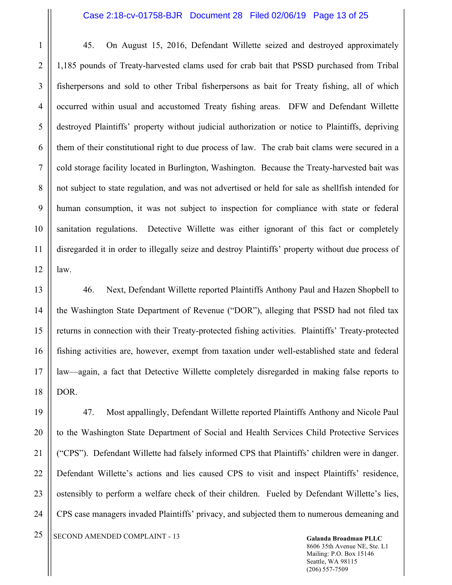#### Case 2:18-cv-01758-BJR Document 28 Filed 02/06/19 Page 13 of 25

45. On August 15, 2016, Defendant Willette seized and destroyed approximately 1,185 pounds of Treaty-harvested clams used for crab bait that PSSD purchased from Tribal fisherpersons and sold to other Tribal fisherpersons as bait for Treaty fishing, all of which occurred within usual and accustomed Treaty fishing areas. DFW and Defendant Willette destroyed Plaintiffs' property without judicial authorization or notice to Plaintiffs, depriving them of their constitutional right to due process of law. The crab bait clams were secured in a cold storage facility located in Burlington, Washington. Because the Treaty-harvested bait was not subject to state regulation, and was not advertised or held for sale as shellfish intended for human consumption, it was not subject to inspection for compliance with state or federal sanitation regulations. Detective Willette was either ignorant of this fact or completely disregarded it in order to illegally seize and destroy Plaintiffs' property without due process of law.

46. Next, Defendant Willette reported Plaintiffs Anthony Paul and Hazen Shopbell to the Washington State Department of Revenue ("DOR"), alleging that PSSD had not filed tax returns in connection with their Treaty-protected fishing activities. Plaintiffs' Treaty-protected fishing activities are, however, exempt from taxation under well-established state and federal law—again, a fact that Detective Willette completely disregarded in making false reports to DOR.

47. Most appallingly, Defendant Willette reported Plaintiffs Anthony and Nicole Paul to the Washington State Department of Social and Health Services Child Protective Services ("CPS"). Defendant Willette had falsely informed CPS that Plaintiffs' children were in danger. Defendant Willette's actions and lies caused CPS to visit and inspect Plaintiffs' residence, ostensibly to perform a welfare check of their children. Fueled by Defendant Willette's lies, CPS case managers invaded Plaintiffs' privacy, and subjected them to numerous demeaning and

<sup>25</sup> SECOND AMENDED COMPLAINT - 13

8606 35th Avenue NE, Ste. L1 Mailing: P.O. Box 15146 Seattle, WA 98115 (206) 557-7509

1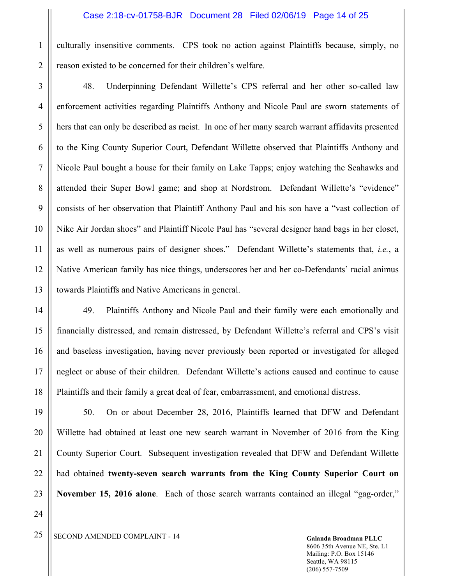culturally insensitive comments. CPS took no action against Plaintiffs because, simply, no reason existed to be concerned for their children's welfare.

48. Underpinning Defendant Willette's CPS referral and her other so-called law enforcement activities regarding Plaintiffs Anthony and Nicole Paul are sworn statements of hers that can only be described as racist. In one of her many search warrant affidavits presented to the King County Superior Court, Defendant Willette observed that Plaintiffs Anthony and Nicole Paul bought a house for their family on Lake Tapps; enjoy watching the Seahawks and attended their Super Bowl game; and shop at Nordstrom. Defendant Willette's "evidence" consists of her observation that Plaintiff Anthony Paul and his son have a "vast collection of Nike Air Jordan shoes" and Plaintiff Nicole Paul has "several designer hand bags in her closet, as well as numerous pairs of designer shoes." Defendant Willette's statements that, *i.e.*, a Native American family has nice things, underscores her and her co-Defendants' racial animus towards Plaintiffs and Native Americans in general.

49. Plaintiffs Anthony and Nicole Paul and their family were each emotionally and financially distressed, and remain distressed, by Defendant Willette's referral and CPS's visit and baseless investigation, having never previously been reported or investigated for alleged neglect or abuse of their children. Defendant Willette's actions caused and continue to cause Plaintiffs and their family a great deal of fear, embarrassment, and emotional distress.

50. On or about December 28, 2016, Plaintiffs learned that DFW and Defendant Willette had obtained at least one new search warrant in November of 2016 from the King County Superior Court. Subsequent investigation revealed that DFW and Defendant Willette had obtained **twenty-seven search warrants from the King County Superior Court on November 15, 2016 alone**. Each of those search warrants contained an illegal "gag-order,"

1

2

3

4

5

6

7

8

9

10

11

12

13

14

15

16

17

18

19

20

<sup>25</sup> SECOND AMENDED COMPLAINT - 14 **Galanda Broadman PLLC**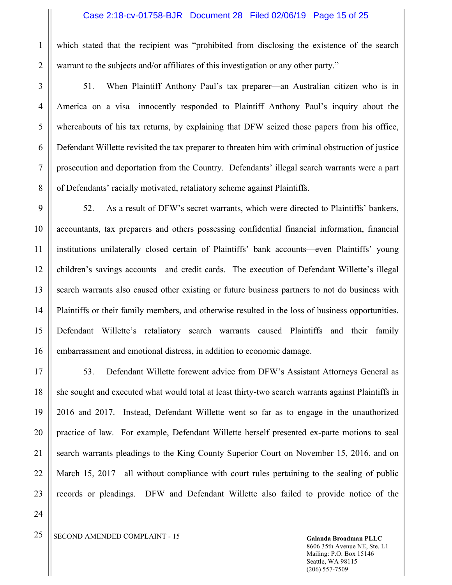which stated that the recipient was "prohibited from disclosing the existence of the search warrant to the subjects and/or affiliates of this investigation or any other party."

51. When Plaintiff Anthony Paul's tax preparer—an Australian citizen who is in America on a visa—innocently responded to Plaintiff Anthony Paul's inquiry about the whereabouts of his tax returns, by explaining that DFW seized those papers from his office, Defendant Willette revisited the tax preparer to threaten him with criminal obstruction of justice prosecution and deportation from the Country. Defendants' illegal search warrants were a part of Defendants' racially motivated, retaliatory scheme against Plaintiffs.

52. As a result of DFW's secret warrants, which were directed to Plaintiffs' bankers, accountants, tax preparers and others possessing confidential financial information, financial institutions unilaterally closed certain of Plaintiffs' bank accounts—even Plaintiffs' young children's savings accounts—and credit cards. The execution of Defendant Willette's illegal search warrants also caused other existing or future business partners to not do business with Plaintiffs or their family members, and otherwise resulted in the loss of business opportunities. Defendant Willette's retaliatory search warrants caused Plaintiffs and their family embarrassment and emotional distress, in addition to economic damage.

53. Defendant Willette forewent advice from DFW's Assistant Attorneys General as she sought and executed what would total at least thirty-two search warrants against Plaintiffs in 2016 and 2017. Instead, Defendant Willette went so far as to engage in the unauthorized practice of law. For example, Defendant Willette herself presented ex-parte motions to seal search warrants pleadings to the King County Superior Court on November 15, 2016, and on March 15, 2017—all without compliance with court rules pertaining to the sealing of public records or pleadings. DFW and Defendant Willette also failed to provide notice of the

1

2

<sup>25</sup> SECOND AMENDED COMPLAINT - 15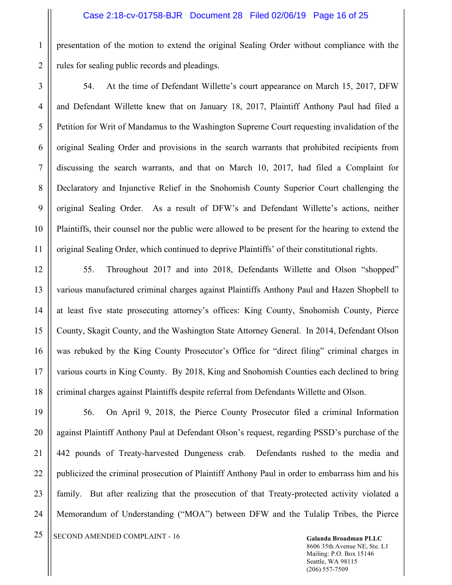presentation of the motion to extend the original Sealing Order without compliance with the rules for sealing public records and pleadings.

54. At the time of Defendant Willette's court appearance on March 15, 2017, DFW and Defendant Willette knew that on January 18, 2017, Plaintiff Anthony Paul had filed a Petition for Writ of Mandamus to the Washington Supreme Court requesting invalidation of the original Sealing Order and provisions in the search warrants that prohibited recipients from discussing the search warrants, and that on March 10, 2017, had filed a Complaint for Declaratory and Injunctive Relief in the Snohomish County Superior Court challenging the original Sealing Order. As a result of DFW's and Defendant Willette's actions, neither Plaintiffs, their counsel nor the public were allowed to be present for the hearing to extend the original Sealing Order, which continued to deprive Plaintiffs' of their constitutional rights.

55. Throughout 2017 and into 2018, Defendants Willette and Olson "shopped" various manufactured criminal charges against Plaintiffs Anthony Paul and Hazen Shopbell to at least five state prosecuting attorney's offices: King County, Snohomish County, Pierce County, Skagit County, and the Washington State Attorney General. In 2014, Defendant Olson was rebuked by the King County Prosecutor's Office for "direct filing" criminal charges in various courts in King County. By 2018, King and Snohomish Counties each declined to bring criminal charges against Plaintiffs despite referral from Defendants Willette and Olson.

56. On April 9, 2018, the Pierce County Prosecutor filed a criminal Information against Plaintiff Anthony Paul at Defendant Olson's request, regarding PSSD's purchase of the 442 pounds of Treaty-harvested Dungeness crab. Defendants rushed to the media and publicized the criminal prosecution of Plaintiff Anthony Paul in order to embarrass him and his family. But after realizing that the prosecution of that Treaty-protected activity violated a Memorandum of Understanding ("MOA") between DFW and the Tulalip Tribes, the Pierce

<sup>25</sup> SECOND AMENDED COMPLAINT - 16 Galanda Broadman PLLC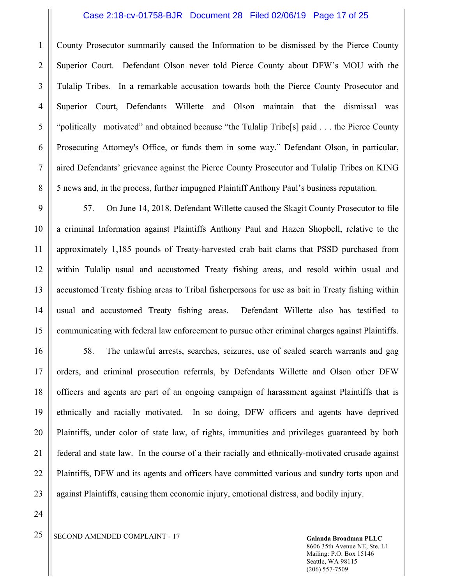#### Case 2:18-cv-01758-BJR Document 28 Filed 02/06/19 Page 17 of 25

County Prosecutor summarily caused the Information to be dismissed by the Pierce County Superior Court. Defendant Olson never told Pierce County about DFW's MOU with the Tulalip Tribes. In a remarkable accusation towards both the Pierce County Prosecutor and Superior Court, Defendants Willette and Olson maintain that the dismissal was "politically motivated" and obtained because "the Tulalip Tribe[s] paid . . . the Pierce County Prosecuting Attorney's Office, or funds them in some way." Defendant Olson, in particular, aired Defendants' grievance against the Pierce County Prosecutor and Tulalip Tribes on KING 5 news and, in the process, further impugned Plaintiff Anthony Paul's business reputation.

57. On June 14, 2018, Defendant Willette caused the Skagit County Prosecutor to file a criminal Information against Plaintiffs Anthony Paul and Hazen Shopbell, relative to the approximately 1,185 pounds of Treaty-harvested crab bait clams that PSSD purchased from within Tulalip usual and accustomed Treaty fishing areas, and resold within usual and accustomed Treaty fishing areas to Tribal fisherpersons for use as bait in Treaty fishing within usual and accustomed Treaty fishing areas. Defendant Willette also has testified to communicating with federal law enforcement to pursue other criminal charges against Plaintiffs.

58. The unlawful arrests, searches, seizures, use of sealed search warrants and gag orders, and criminal prosecution referrals, by Defendants Willette and Olson other DFW officers and agents are part of an ongoing campaign of harassment against Plaintiffs that is ethnically and racially motivated. In so doing, DFW officers and agents have deprived Plaintiffs, under color of state law, of rights, immunities and privileges guaranteed by both federal and state law. In the course of a their racially and ethnically-motivated crusade against Plaintiffs, DFW and its agents and officers have committed various and sundry torts upon and against Plaintiffs, causing them economic injury, emotional distress, and bodily injury.

24

1

2

3

4

5

6

7

8

9

10

11

12

13

14

15

16

17

18

19

20

21

22

23

<sup>25</sup> SECOND AMENDED COMPLAINT - 17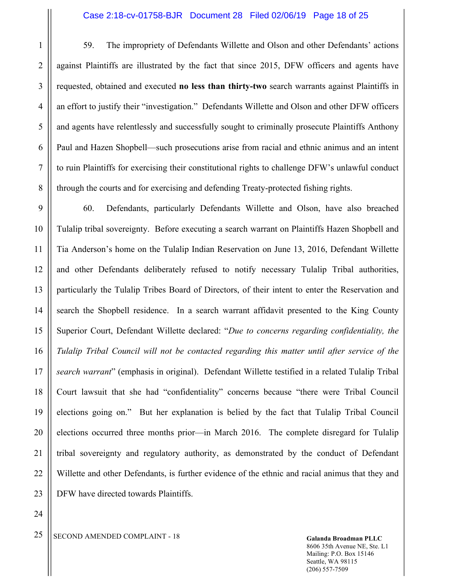59. The impropriety of Defendants Willette and Olson and other Defendants' actions against Plaintiffs are illustrated by the fact that since 2015, DFW officers and agents have requested, obtained and executed **no less than thirty-two** search warrants against Plaintiffs in an effort to justify their "investigation." Defendants Willette and Olson and other DFW officers and agents have relentlessly and successfully sought to criminally prosecute Plaintiffs Anthony Paul and Hazen Shopbell—such prosecutions arise from racial and ethnic animus and an intent to ruin Plaintiffs for exercising their constitutional rights to challenge DFW's unlawful conduct through the courts and for exercising and defending Treaty-protected fishing rights.

60. Defendants, particularly Defendants Willette and Olson, have also breached Tulalip tribal sovereignty. Before executing a search warrant on Plaintiffs Hazen Shopbell and Tia Anderson's home on the Tulalip Indian Reservation on June 13, 2016, Defendant Willette and other Defendants deliberately refused to notify necessary Tulalip Tribal authorities, particularly the Tulalip Tribes Board of Directors, of their intent to enter the Reservation and search the Shopbell residence. In a search warrant affidavit presented to the King County Superior Court, Defendant Willette declared: "*Due to concerns regarding confidentiality, the Tulalip Tribal Council will not be contacted regarding this matter until after service of the search warrant*" (emphasis in original). Defendant Willette testified in a related Tulalip Tribal Court lawsuit that she had "confidentiality" concerns because "there were Tribal Council elections going on." But her explanation is belied by the fact that Tulalip Tribal Council elections occurred three months prior—in March 2016. The complete disregard for Tulalip tribal sovereignty and regulatory authority, as demonstrated by the conduct of Defendant Willette and other Defendants, is further evidence of the ethnic and racial animus that they and DFW have directed towards Plaintiffs.

1

2

3

4

5

<sup>25</sup> SECOND AMENDED COMPLAINT - 18 Galanda Broadman PLLC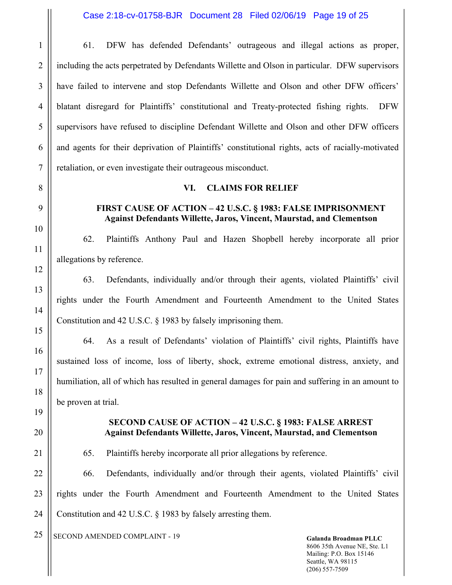61. DFW has defended Defendants' outrageous and illegal actions as proper, including the acts perpetrated by Defendants Willette and Olson in particular. DFW supervisors have failed to intervene and stop Defendants Willette and Olson and other DFW officers' blatant disregard for Plaintiffs' constitutional and Treaty-protected fishing rights. DFW supervisors have refused to discipline Defendant Willette and Olson and other DFW officers and agents for their deprivation of Plaintiffs' constitutional rights, acts of racially-motivated retaliation, or even investigate their outrageous misconduct.

## **VI. CLAIMS FOR RELIEF**

## **FIRST CAUSE OF ACTION – 42 U.S.C. § 1983: FALSE IMPRISONMENT Against Defendants Willette, Jaros, Vincent, Maurstad, and Clementson**

62. Plaintiffs Anthony Paul and Hazen Shopbell hereby incorporate all prior allegations by reference.

63. Defendants, individually and/or through their agents, violated Plaintiffs' civil rights under the Fourth Amendment and Fourteenth Amendment to the United States Constitution and 42 U.S.C. § 1983 by falsely imprisoning them.

64. As a result of Defendants' violation of Plaintiffs' civil rights, Plaintiffs have sustained loss of income, loss of liberty, shock, extreme emotional distress, anxiety, and humiliation, all of which has resulted in general damages for pain and suffering in an amount to be proven at trial.

#### **SECOND CAUSE OF ACTION – 42 U.S.C. § 1983: FALSE ARREST Against Defendants Willette, Jaros, Vincent, Maurstad, and Clementson**

65. Plaintiffs hereby incorporate all prior allegations by reference.

66. Defendants, individually and/or through their agents, violated Plaintiffs' civil rights under the Fourth Amendment and Fourteenth Amendment to the United States Constitution and 42 U.S.C. § 1983 by falsely arresting them.

<sup>25</sup> SECOND AMENDED COMPLAINT - 19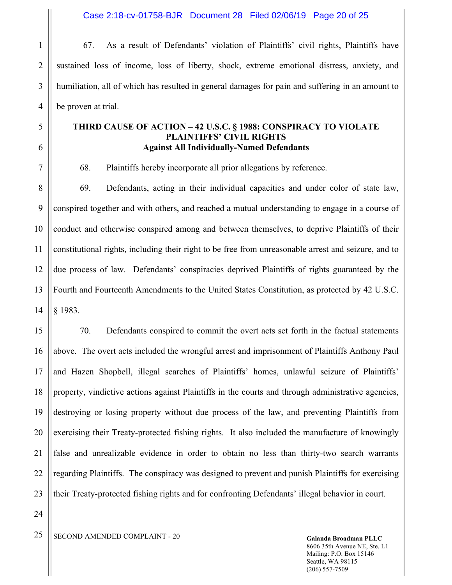Case 2:18-cv-01758-BJR Document 28 Filed 02/06/19 Page 20 of 25

67. As a result of Defendants' violation of Plaintiffs' civil rights, Plaintiffs have sustained loss of income, loss of liberty, shock, extreme emotional distress, anxiety, and humiliation, all of which has resulted in general damages for pain and suffering in an amount to be proven at trial.

## **THIRD CAUSE OF ACTION – 42 U.S.C. § 1988: CONSPIRACY TO VIOLATE PLAINTIFFS' CIVIL RIGHTS Against All Individually-Named Defendants**

68. Plaintiffs hereby incorporate all prior allegations by reference.

8 9 10 11 12 13 14 69. Defendants, acting in their individual capacities and under color of state law, conspired together and with others, and reached a mutual understanding to engage in a course of conduct and otherwise conspired among and between themselves, to deprive Plaintiffs of their constitutional rights, including their right to be free from unreasonable arrest and seizure, and to due process of law. Defendants' conspiracies deprived Plaintiffs of rights guaranteed by the Fourth and Fourteenth Amendments to the United States Constitution, as protected by 42 U.S.C. § 1983.

15 16 17 18 19 20 22 23 70. Defendants conspired to commit the overt acts set forth in the factual statements above. The overt acts included the wrongful arrest and imprisonment of Plaintiffs Anthony Paul and Hazen Shopbell, illegal searches of Plaintiffs' homes, unlawful seizure of Plaintiffs' property, vindictive actions against Plaintiffs in the courts and through administrative agencies, destroying or losing property without due process of the law, and preventing Plaintiffs from exercising their Treaty-protected fishing rights. It also included the manufacture of knowingly false and unrealizable evidence in order to obtain no less than thirty-two search warrants regarding Plaintiffs. The conspiracy was designed to prevent and punish Plaintiffs for exercising their Treaty-protected fishing rights and for confronting Defendants' illegal behavior in court.

24

21

1

2

3

4

5

6

7

<sup>25</sup> SECOND AMENDED COMPLAINT - 20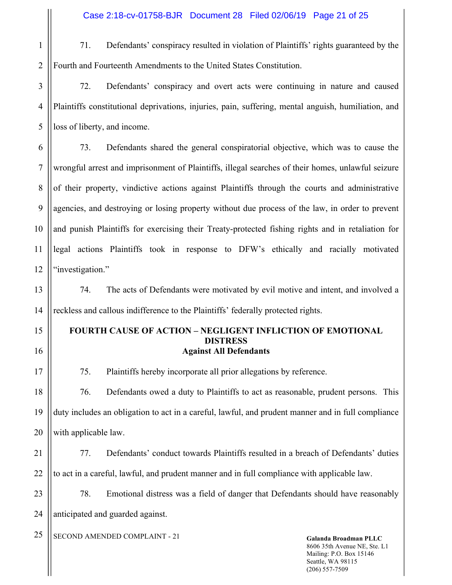71. Defendants' conspiracy resulted in violation of Plaintiffs' rights guaranteed by the Fourth and Fourteenth Amendments to the United States Constitution.

3 4 5 72. Defendants' conspiracy and overt acts were continuing in nature and caused Plaintiffs constitutional deprivations, injuries, pain, suffering, mental anguish, humiliation, and loss of liberty, and income.

6 7 8 9 10 11 12 73. Defendants shared the general conspiratorial objective, which was to cause the wrongful arrest and imprisonment of Plaintiffs, illegal searches of their homes, unlawful seizure of their property, vindictive actions against Plaintiffs through the courts and administrative agencies, and destroying or losing property without due process of the law, in order to prevent and punish Plaintiffs for exercising their Treaty-protected fishing rights and in retaliation for legal actions Plaintiffs took in response to DFW's ethically and racially motivated "investigation."

13 14 74. The acts of Defendants were motivated by evil motive and intent, and involved a reckless and callous indifference to the Plaintiffs' federally protected rights.

## **FOURTH CAUSE OF ACTION – NEGLIGENT INFLICTION OF EMOTIONAL DISTRESS Against All Defendants**

75. Plaintiffs hereby incorporate all prior allegations by reference.

18 19 20 76. Defendants owed a duty to Plaintiffs to act as reasonable, prudent persons. This duty includes an obligation to act in a careful, lawful, and prudent manner and in full compliance with applicable law.

21 22 77. Defendants' conduct towards Plaintiffs resulted in a breach of Defendants' duties to act in a careful, lawful, and prudent manner and in full compliance with applicable law.

23 24 78. Emotional distress was a field of danger that Defendants should have reasonably anticipated and guarded against.

<sup>25</sup> SECOND AMENDED COMPLAINT - 21

1

2

15

16

17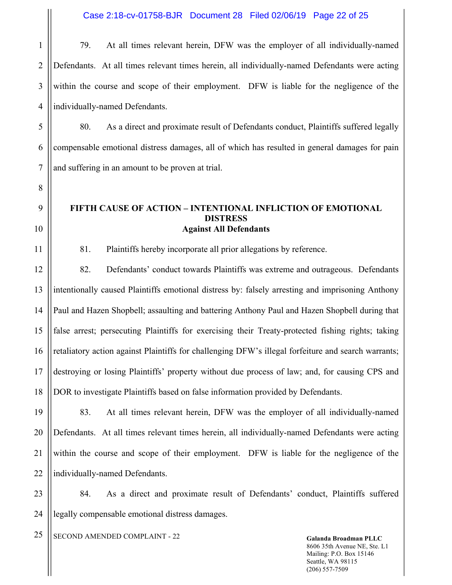1 2 3 4 79. At all times relevant herein, DFW was the employer of all individually-named Defendants. At all times relevant times herein, all individually-named Defendants were acting within the course and scope of their employment. DFW is liable for the negligence of the individually-named Defendants.

5 6 7 80. As a direct and proximate result of Defendants conduct, Plaintiffs suffered legally compensable emotional distress damages, all of which has resulted in general damages for pain and suffering in an amount to be proven at trial.

## **FIFTH CAUSE OF ACTION – INTENTIONAL INFLICTION OF EMOTIONAL DISTRESS Against All Defendants**

81. Plaintiffs hereby incorporate all prior allegations by reference.

12 13 14 15 16 17 18 82. Defendants' conduct towards Plaintiffs was extreme and outrageous. Defendants intentionally caused Plaintiffs emotional distress by: falsely arresting and imprisoning Anthony Paul and Hazen Shopbell; assaulting and battering Anthony Paul and Hazen Shopbell during that false arrest; persecuting Plaintiffs for exercising their Treaty-protected fishing rights; taking retaliatory action against Plaintiffs for challenging DFW's illegal forfeiture and search warrants; destroying or losing Plaintiffs' property without due process of law; and, for causing CPS and DOR to investigate Plaintiffs based on false information provided by Defendants.

19 20 21 22 83. At all times relevant herein, DFW was the employer of all individually-named Defendants. At all times relevant times herein, all individually-named Defendants were acting within the course and scope of their employment. DFW is liable for the negligence of the individually-named Defendants.

23 24 84. As a direct and proximate result of Defendants' conduct, Plaintiffs suffered legally compensable emotional distress damages.

<sup>25</sup> SECOND AMENDED COMPLAINT - 22

8

9

10

11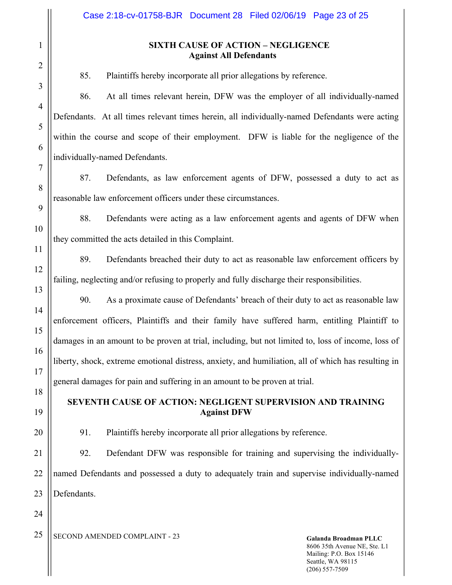## **SIXTH CAUSE OF ACTION – NEGLIGENCE Against All Defendants**

85. Plaintiffs hereby incorporate all prior allegations by reference.

86. At all times relevant herein, DFW was the employer of all individually-named Defendants. At all times relevant times herein, all individually-named Defendants were acting within the course and scope of their employment. DFW is liable for the negligence of the individually-named Defendants.

87. Defendants, as law enforcement agents of DFW, possessed a duty to act as reasonable law enforcement officers under these circumstances.

88. Defendants were acting as a law enforcement agents and agents of DFW when they committed the acts detailed in this Complaint.

89. Defendants breached their duty to act as reasonable law enforcement officers by failing, neglecting and/or refusing to properly and fully discharge their responsibilities.

90. As a proximate cause of Defendants' breach of their duty to act as reasonable law enforcement officers, Plaintiffs and their family have suffered harm, entitling Plaintiff to damages in an amount to be proven at trial, including, but not limited to, loss of income, loss of liberty, shock, extreme emotional distress, anxiety, and humiliation, all of which has resulting in general damages for pain and suffering in an amount to be proven at trial.

## **SEVENTH CAUSE OF ACTION: NEGLIGENT SUPERVISION AND TRAINING Against DFW**

91. Plaintiffs hereby incorporate all prior allegations by reference.

21 22 23 92. Defendant DFW was responsible for training and supervising the individuallynamed Defendants and possessed a duty to adequately train and supervise individually-named Defendants.

24

1

2

3

4

5

6

7

8

9

10

11

12

13

14

15

16

17

18

19

20

<sup>25</sup> SECOND AMENDED COMPLAINT - 23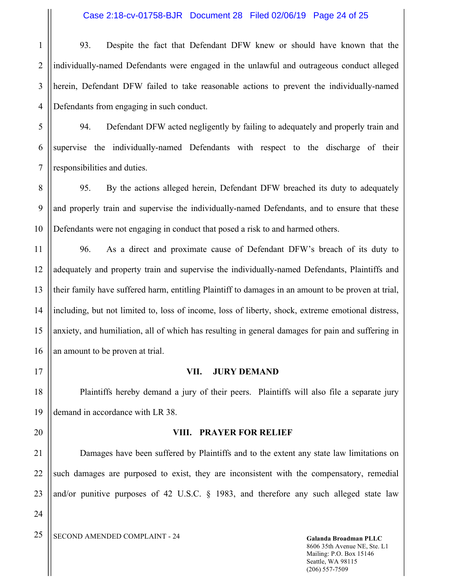1 2 3 4 93. Despite the fact that Defendant DFW knew or should have known that the individually-named Defendants were engaged in the unlawful and outrageous conduct alleged herein, Defendant DFW failed to take reasonable actions to prevent the individually-named Defendants from engaging in such conduct.

5 6 7 94. Defendant DFW acted negligently by failing to adequately and properly train and supervise the individually-named Defendants with respect to the discharge of their responsibilities and duties.

8 9 10 95. By the actions alleged herein, Defendant DFW breached its duty to adequately and properly train and supervise the individually-named Defendants, and to ensure that these Defendants were not engaging in conduct that posed a risk to and harmed others.

11 12 13 14 15 16 96. As a direct and proximate cause of Defendant DFW's breach of its duty to adequately and property train and supervise the individually-named Defendants, Plaintiffs and their family have suffered harm, entitling Plaintiff to damages in an amount to be proven at trial, including, but not limited to, loss of income, loss of liberty, shock, extreme emotional distress, anxiety, and humiliation, all of which has resulting in general damages for pain and suffering in an amount to be proven at trial.

17

18

19

20

24

## **VII. JURY DEMAND**

Plaintiffs hereby demand a jury of their peers. Plaintiffs will also file a separate jury demand in accordance with LR 38.

#### **VIII. PRAYER FOR RELIEF**

21 22 23 Damages have been suffered by Plaintiffs and to the extent any state law limitations on such damages are purposed to exist, they are inconsistent with the compensatory, remedial and/or punitive purposes of 42 U.S.C. § 1983, and therefore any such alleged state law

<sup>25</sup> SECOND AMENDED COMPLAINT - 24 Galanda Broadman PLLC